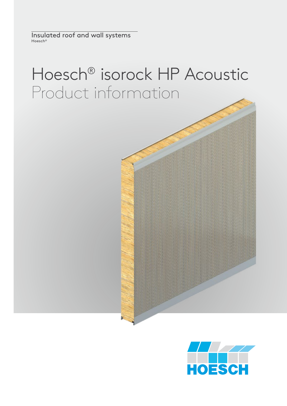Insulated roof and wall systems Hoesch®

# Hoesch® isorock HP Acoustic Product information

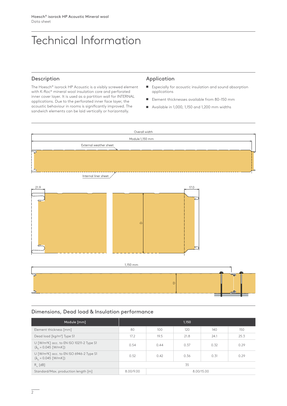# Technical Information

# Description

The Hoesch® isorock HP Acoustic is a visibly screwed element with K-Roc® mineral wool insulation core and perforated inner cover layer. It is used as a partition wall for INTERNAL applications. Due to the perforated inner face layer, the acoustic behaviour in rooms is significantly improved. The sandwich elements can be laid vertically or horizontally.

#### Application

- Especially for acoustic insulation and sound absorption applications
- $\blacksquare$  Element thicknesses available from 80-150 mm
- $\blacksquare$  Available in 1,000, 1,150 and 1,200 mm widths



#### Dimensions, Dead load & Insulation performance

| Module [mm]                                                                                |           |            | 1.150 |      |      |
|--------------------------------------------------------------------------------------------|-----------|------------|-------|------|------|
| Element thickness [mm]                                                                     | 80        | 100        | 120   | 140  | 150  |
| Dead load [kg/m <sup>2</sup> ] Type S1                                                     | 17.2      | 19.5       | 21.8  | 24.1 | 25.3 |
| U [W/m <sup>2</sup> K] acc. to EN ISO 10211-2 Type S1<br>$(\lambda_0 = 0.045$ [W/mK])      | 0.54      | 0.44       | 0.37  | 0.32 | 0.29 |
| U [W/m <sup>2</sup> K] acc. to EN ISO 6946-2 Type S1<br>$(\lambda_{\rm p} = 0.045$ [W/mK]) | 0.52      | 0.42       | 0.36  | 0.31 | 0.29 |
| $R_{\ldots}$ [dB]                                                                          | 35        |            |       |      |      |
| Standard/Max. production length [m]                                                        | 8.00/9.00 | 8.00/15.00 |       |      |      |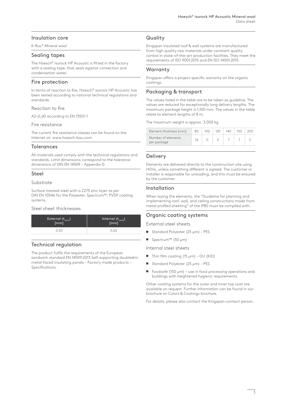# Insulation core

K-Roc® Mineral wool

# Sealing tapes

The Hoesch® isorock HP Acoustic is fitted in the factory with a sealing tape, that seals against convection and condensation water.

# Fire protection

In terms of reaction to fire, Hoesch® isorock HP Acoustic has been tested according to national technical regulations and standards.

#### Reaction to fire

A2-s1,d0 according to EN 13501-1

#### Fire resistance

The current fire resistance classes can be found on the Internet at: www.hoesch-bau.com

# **Tolerances**

All materials used comply with the technical regulations and standards. Limit dimensions correspond to the tolerance dimensions of DIN EN 14509 – Appendix D.

# Steel

#### Substrate

Surface-treated steel with a Z275 zinc layer as per DIN EN 10346 for the Polyester, Spectrum™, PVDF coating systems.

#### Steel sheet thicknesses

| External (t <sub>nom1</sub> ) | Internal $(t_{\text{nom2}})$ |
|-------------------------------|------------------------------|
| [mm]                          | [mm]                         |
| O 50                          | 0.60                         |

# Technical regulation

The product fulfils the requirements of the European sandwich standard EN 14509:2013 Self-supporting doubleskin metal-faced insulating panels – Factory made products – Specifications.

# **Quality**

Kingspan insulated roof & wall systems are manufactured from high quality raw materials under constant quality control in state-of-the-art production facilities. They meet the requirements of ISO 9001:2015 and EN ISO 14001:2015.

# **Warranty**

Kingspan offers a project-specific warranty on the organic coatings.

# Packaging & transport

The values listed in the table are to be taken as guideline. The values are reduced for exceptionally long delivery lengths. The maximum package height is 1,100 mm. The values in the table relate to element lengths of 8 m.

The maximum weight is approx. 3,000 kg.

| Element thickness [mm]            | 80 | 100 <sub>o</sub> | 120 | 140 | 150 | 200 |
|-----------------------------------|----|------------------|-----|-----|-----|-----|
| Number of elements<br>per package | 14 |                  |     |     |     |     |
|                                   |    |                  |     |     |     |     |

# Delivery

Elements are delivered directly to the construction site using HGVs, unless something different is agreed. The customer or installer is responsible for unloading, and this must be ensured by the customer.

# Installation

When laying the elements, the "Guideline for planning and implementing roof, wall, and ceiling constructions made from metal profiled sheeting" of the IFBS must be complied with.

# Organic coating systems

External steel sheets

- Standard Polyester (25 μm) PES
- Spectrum™ (50 μm)

Internal steel sheets

- $\blacksquare$  Thin film coating (15 μm) DU (KID)
- $\blacksquare$  Standard Polyester (25 μm) PES
- Foodsafe (150  $\mu$ m) use in food processing operations and buildings with heightened hygienic requirements.

Other coating systems for the outer and inner top coat are available on request. Further information can be found in our brochure on Colors & Coatings brochure.

For details, please also contact the Kingspan-contact person.